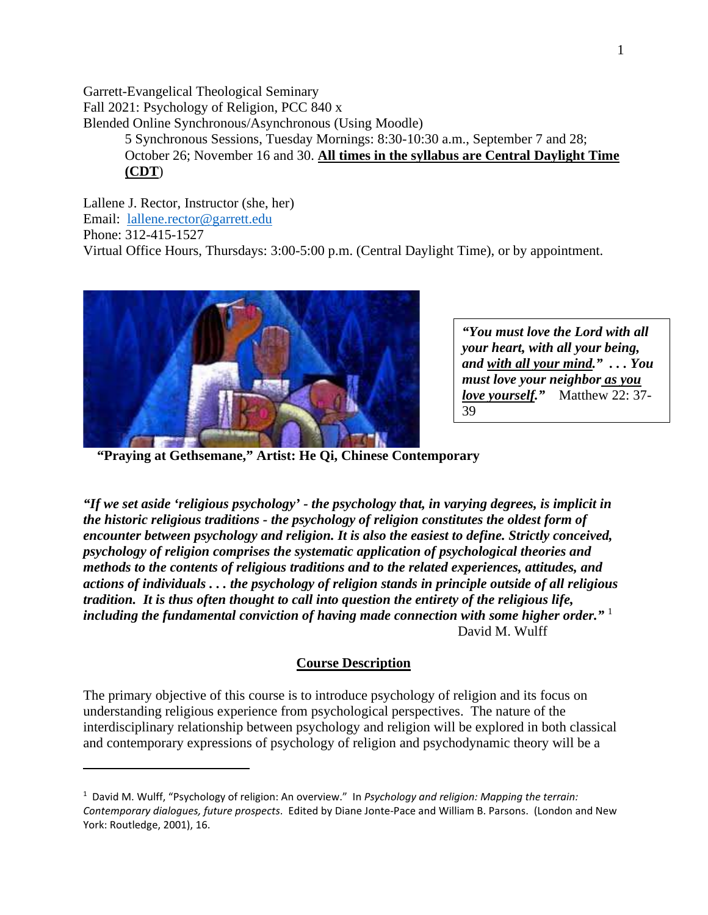Garrett-Evangelical Theological Seminary Fall 2021: Psychology of Religion, PCC 840 x Blended Online Synchronous/Asynchronous (Using Moodle) 5 Synchronous Sessions, Tuesday Mornings: 8:30-10:30 a.m., September 7 and 28; October 26; November 16 and 30. **All times in the syllabus are Central Daylight Time (CDT**)

Lallene J. Rector, Instructor (she, her) Email: lallene.rector@garrett.edu Phone: 312-415-1527 Virtual Office Hours, Thursdays: 3:00-5:00 p.m. (Central Daylight Time), or by appointment.



*"You must love the Lord with all your heart, with all your being, and with all your mind." . . . You must love your neighbor as you love yourself."* Matthew 22: 37- 39

 **"Praying at Gethsemane," Artist: He Qi, Chinese Contemporary** 

*"If we set aside 'religious psychology' - the psychology that, in varying degrees, is implicit in the historic religious traditions - the psychology of religion constitutes the oldest form of encounter between psychology and religion. It is also the easiest to define. Strictly conceived, psychology of religion comprises the systematic application of psychological theories and methods to the contents of religious traditions and to the related experiences, attitudes, and actions of individuals . . . the psychology of religion stands in principle outside of all religious tradition. It is thus often thought to call into question the entirety of the religious life, including the fundamental conviction of having made connection with some higher order."* <sup>1</sup> David M. Wulff

#### **Course Description**

The primary objective of this course is to introduce psychology of religion and its focus on understanding religious experience from psychological perspectives. The nature of the interdisciplinary relationship between psychology and religion will be explored in both classical and contemporary expressions of psychology of religion and psychodynamic theory will be a

<sup>1</sup> David M. Wulff, "Psychology of religion: An overview." In *Psychology and religion: Mapping the terrain: Contemporary dialogues, future prospects*. Edited by Diane Jonte-Pace and William B. Parsons. (London and New York: Routledge, 2001), 16.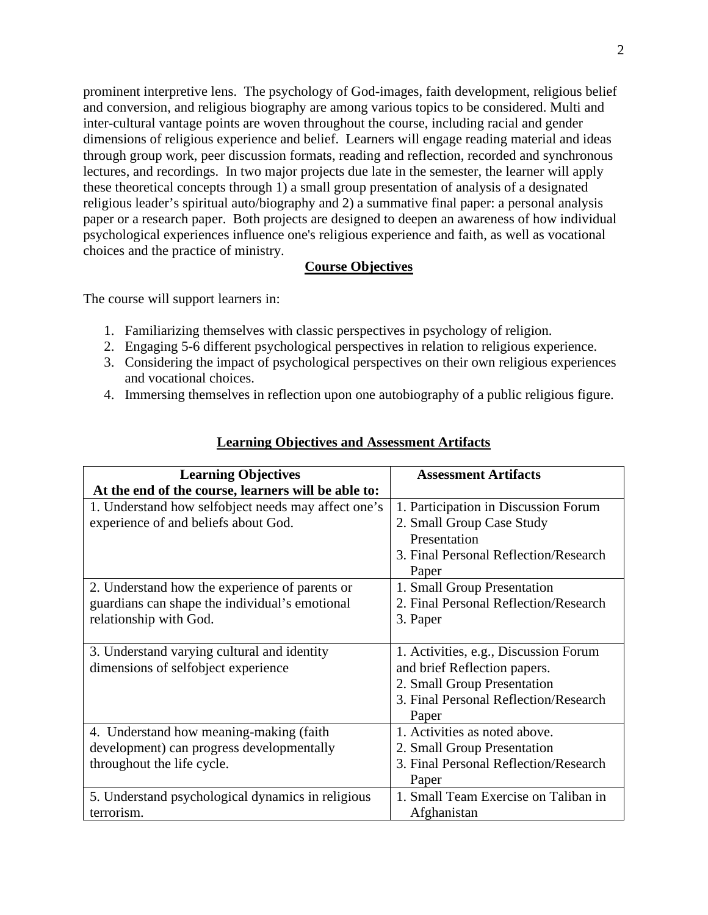prominent interpretive lens. The psychology of God-images, faith development, religious belief and conversion, and religious biography are among various topics to be considered. Multi and inter-cultural vantage points are woven throughout the course, including racial and gender dimensions of religious experience and belief. Learners will engage reading material and ideas through group work, peer discussion formats, reading and reflection, recorded and synchronous lectures, and recordings. In two major projects due late in the semester, the learner will apply these theoretical concepts through 1) a small group presentation of analysis of a designated religious leader's spiritual auto/biography and 2) a summative final paper: a personal analysis paper or a research paper. Both projects are designed to deepen an awareness of how individual psychological experiences influence one's religious experience and faith, as well as vocational choices and the practice of ministry.

#### **Course Objectives**

The course will support learners in:

- 1. Familiarizing themselves with classic perspectives in psychology of religion.
- 2. Engaging 5-6 different psychological perspectives in relation to religious experience.
- 3. Considering the impact of psychological perspectives on their own religious experiences and vocational choices.
- 4. Immersing themselves in reflection upon one autobiography of a public religious figure.

| <b>Learning Objectives</b>                          | <b>Assessment Artifacts</b>           |  |
|-----------------------------------------------------|---------------------------------------|--|
| At the end of the course, learners will be able to: |                                       |  |
| 1. Understand how selfobject needs may affect one's | 1. Participation in Discussion Forum  |  |
| experience of and beliefs about God.                | 2. Small Group Case Study             |  |
|                                                     | Presentation                          |  |
|                                                     | 3. Final Personal Reflection/Research |  |
|                                                     | Paper                                 |  |
| 2. Understand how the experience of parents or      | 1. Small Group Presentation           |  |
| guardians can shape the individual's emotional      | 2. Final Personal Reflection/Research |  |
| relationship with God.                              | 3. Paper                              |  |
|                                                     |                                       |  |
| 3. Understand varying cultural and identity         | 1. Activities, e.g., Discussion Forum |  |
| dimensions of selfobject experience                 | and brief Reflection papers.          |  |
|                                                     | 2. Small Group Presentation           |  |
|                                                     | 3. Final Personal Reflection/Research |  |
|                                                     | Paper                                 |  |
| 4. Understand how meaning-making (faith)            | 1. Activities as noted above.         |  |
| development) can progress developmentally           | 2. Small Group Presentation           |  |
| throughout the life cycle.                          | 3. Final Personal Reflection/Research |  |
|                                                     | Paper                                 |  |
| 5. Understand psychological dynamics in religious   | 1. Small Team Exercise on Taliban in  |  |
| terrorism.                                          | Afghanistan                           |  |

## **Learning Objectives and Assessment Artifacts**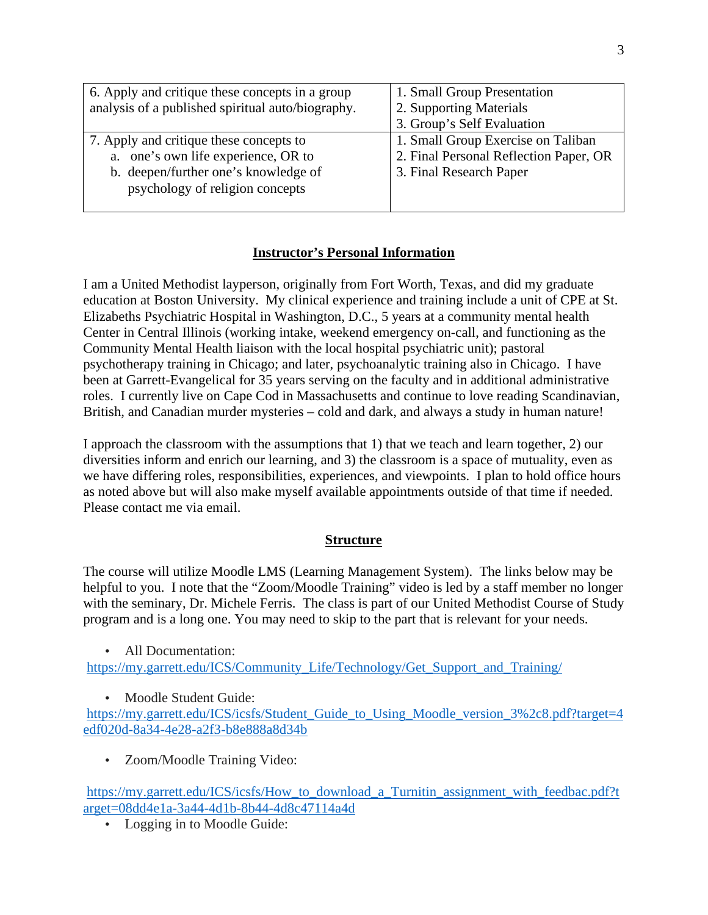| 6. Apply and critique these concepts in a group<br>analysis of a published spiritual auto/biography.                                                      | 1. Small Group Presentation<br>2. Supporting Materials                                                  |
|-----------------------------------------------------------------------------------------------------------------------------------------------------------|---------------------------------------------------------------------------------------------------------|
|                                                                                                                                                           | 3. Group's Self Evaluation                                                                              |
| 7. Apply and critique these concepts to<br>a. one's own life experience, OR to<br>b. deepen/further one's knowledge of<br>psychology of religion concepts | 1. Small Group Exercise on Taliban<br>2. Final Personal Reflection Paper, OR<br>3. Final Research Paper |

## **Instructor's Personal Information**

I am a United Methodist layperson, originally from Fort Worth, Texas, and did my graduate education at Boston University. My clinical experience and training include a unit of CPE at St. Elizabeths Psychiatric Hospital in Washington, D.C., 5 years at a community mental health Center in Central Illinois (working intake, weekend emergency on-call, and functioning as the Community Mental Health liaison with the local hospital psychiatric unit); pastoral psychotherapy training in Chicago; and later, psychoanalytic training also in Chicago. I have been at Garrett-Evangelical for 35 years serving on the faculty and in additional administrative roles. I currently live on Cape Cod in Massachusetts and continue to love reading Scandinavian, British, and Canadian murder mysteries – cold and dark, and always a study in human nature!

I approach the classroom with the assumptions that 1) that we teach and learn together, 2) our diversities inform and enrich our learning, and 3) the classroom is a space of mutuality, even as we have differing roles, responsibilities, experiences, and viewpoints. I plan to hold office hours as noted above but will also make myself available appointments outside of that time if needed. Please contact me via email.

#### **Structure**

The course will utilize Moodle LMS (Learning Management System). The links below may be helpful to you. I note that the "Zoom/Moodle Training" video is led by a staff member no longer with the seminary, Dr. Michele Ferris. The class is part of our United Methodist Course of Study program and is a long one. You may need to skip to the part that is relevant for your needs.

• All Documentation:

https://my.garrett.edu/ICS/Community\_Life/Technology/Get\_Support\_and\_Training/

• Moodle Student Guide:

https://my.garrett.edu/ICS/icsfs/Student\_Guide\_to\_Using\_Moodle\_version\_3%2c8.pdf?target=4 edf020d-8a34-4e28-a2f3-b8e888a8d34b

• Zoom/Moodle Training Video:

https://my.garrett.edu/ICS/icsfs/How\_to\_download\_a\_Turnitin\_assignment\_with\_feedbac.pdf?t arget=08dd4e1a-3a44-4d1b-8b44-4d8c47114a4d

• Logging in to Moodle Guide: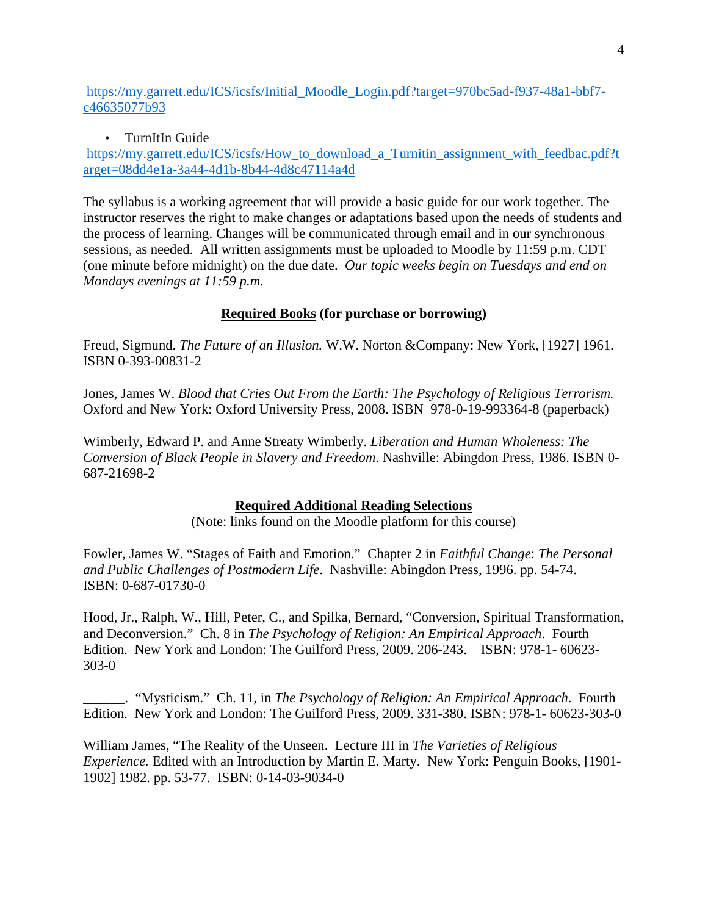https://my.garrett.edu/ICS/icsfs/Initial\_Moodle\_Login.pdf?target=970bc5ad-f937-48a1-bbf7 c46635077b93

#### • TurnItIn Guide

https://my.garrett.edu/ICS/icsfs/How to download a Turnitin assignment with feedbac.pdf?t arget=08dd4e1a-3a44-4d1b-8b44-4d8c47114a4d

The syllabus is a working agreement that will provide a basic guide for our work together. The instructor reserves the right to make changes or adaptations based upon the needs of students and the process of learning. Changes will be communicated through email and in our synchronous sessions, as needed. All written assignments must be uploaded to Moodle by 11:59 p.m. CDT (one minute before midnight) on the due date. *Our topic weeks begin on Tuesdays and end on Mondays evenings at 11:59 p.m.*

## **Required Books (for purchase or borrowing)**

Freud, Sigmund. *The Future of an Illusion.* W.W. Norton &Company: New York, [1927] 1961. ISBN 0-393-00831-2

Jones, James W. *Blood that Cries Out From the Earth: The Psychology of Religious Terrorism.*  Oxford and New York: Oxford University Press, 2008. ISBN 978-0-19-993364-8 (paperback)

Wimberly, Edward P. and Anne Streaty Wimberly. *Liberation and Human Wholeness: The Conversion of Black People in Slavery and Freedom*. Nashville: Abingdon Press, 1986. ISBN 0- 687-21698-2

## **Required Additional Reading Selections**

(Note: links found on the Moodle platform for this course)

Fowler, James W. "Stages of Faith and Emotion." Chapter 2 in *Faithful Change*: *The Personal and Public Challenges of Postmodern Life*. Nashville: Abingdon Press, 1996. pp. 54-74. ISBN: 0-687-01730-0

Hood, Jr., Ralph, W., Hill, Peter, C., and Spilka, Bernard, "Conversion, Spiritual Transformation, and Deconversion." Ch. 8 in *The Psychology of Religion: An Empirical Approach*. Fourth Edition. New York and London: The Guilford Press, 2009. 206-243. ISBN: 978-1- 60623- 303-0

\_\_\_\_\_\_. "Mysticism." Ch. 11, in *The Psychology of Religion: An Empirical Approach*. Fourth Edition. New York and London: The Guilford Press, 2009. 331-380. ISBN: 978-1- 60623-303-0

William James, "The Reality of the Unseen. Lecture III in *The Varieties of Religious Experience.* Edited with an Introduction by Martin E. Marty. New York: Penguin Books, [1901- 1902] 1982. pp. 53-77. ISBN: 0-14-03-9034-0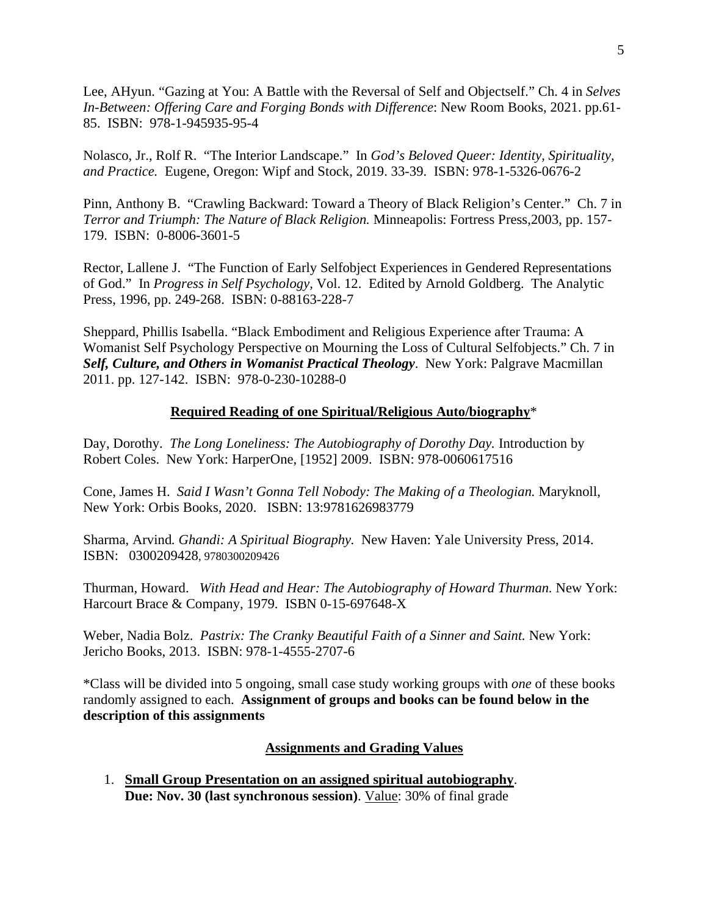Lee, AHyun. "Gazing at You: A Battle with the Reversal of Self and Objectself." Ch. 4 in *Selves In-Between: Offering Care and Forging Bonds with Difference*: New Room Books, 2021. pp.61- 85. ISBN: 978-1-945935-95-4

Nolasco, Jr., Rolf R. "The Interior Landscape." In *God's Beloved Queer: Identity, Spirituality, and Practice.* Eugene, Oregon: Wipf and Stock, 2019. 33-39. ISBN: 978-1-5326-0676-2

Pinn, Anthony B. "Crawling Backward: Toward a Theory of Black Religion's Center." Ch. 7 in *Terror and Triumph: The Nature of Black Religion.* Minneapolis: Fortress Press,2003, pp. 157- 179. ISBN: 0-8006-3601-5

Rector, Lallene J. "The Function of Early Selfobject Experiences in Gendered Representations of God." In *Progress in Self Psychology,* Vol. 12. Edited by Arnold Goldberg. The Analytic Press, 1996, pp. 249-268. ISBN: 0-88163-228-7

Sheppard, Phillis Isabella. "Black Embodiment and Religious Experience after Trauma: A Womanist Self Psychology Perspective on Mourning the Loss of Cultural Selfobjects." Ch. 7 in *Self, Culture, and Others in Womanist Practical Theology*. New York: Palgrave Macmillan 2011. pp. 127-142. ISBN: 978-0-230-10288-0

#### **Required Reading of one Spiritual/Religious Auto/biography**\*

Day, Dorothy. *The Long Loneliness: The Autobiography of Dorothy Day.* Introduction by Robert Coles. New York: HarperOne, [1952] 2009. ISBN: 978-0060617516

Cone, James H. *Said I Wasn't Gonna Tell Nobody: The Making of a Theologian.* Maryknoll, New York: Orbis Books, 2020. ISBN: 13:9781626983779

Sharma, Arvind*. Ghandi: A Spiritual Biography.* New Haven: Yale University Press, 2014. ISBN: 0300209428, 9780300209426

Thurman, Howard. *With Head and Hear: The Autobiography of Howard Thurman.* New York: Harcourt Brace & Company, 1979. ISBN 0-15-697648-X

Weber, Nadia Bolz. *Pastrix: The Cranky Beautiful Faith of a Sinner and Saint.* New York: Jericho Books, 2013. ISBN: 978-1-4555-2707-6

\*Class will be divided into 5 ongoing, small case study working groups with *one* of these books randomly assigned to each. **Assignment of groups and books can be found below in the description of this assignments** 

#### **Assignments and Grading Values**

1. **Small Group Presentation on an assigned spiritual autobiography**. **Due: Nov. 30 (last synchronous session)**. Value: 30% of final grade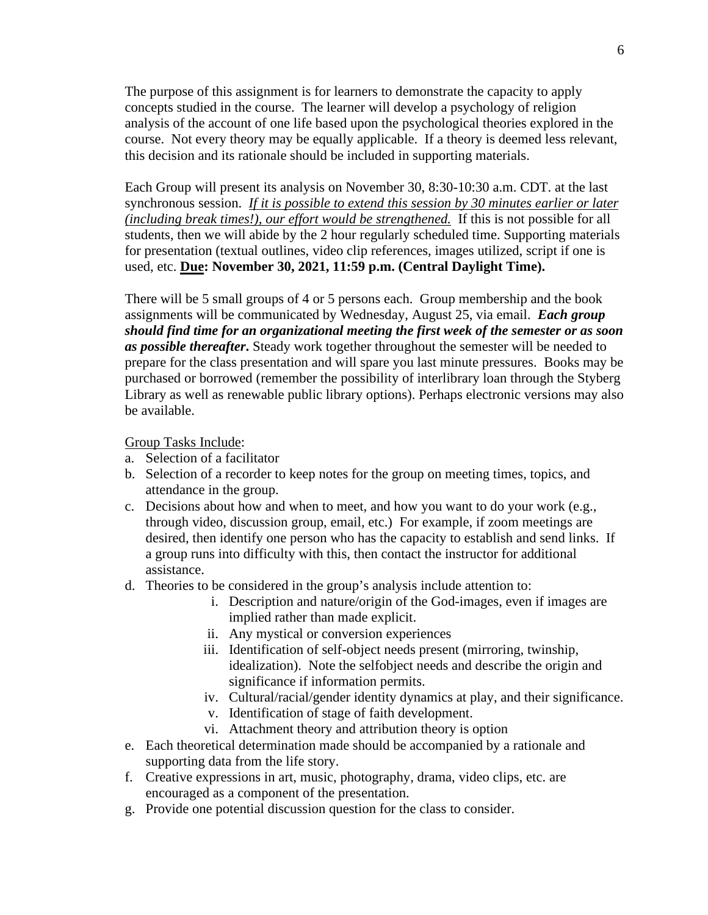The purpose of this assignment is for learners to demonstrate the capacity to apply concepts studied in the course. The learner will develop a psychology of religion analysis of the account of one life based upon the psychological theories explored in the course. Not every theory may be equally applicable. If a theory is deemed less relevant, this decision and its rationale should be included in supporting materials.

Each Group will present its analysis on November 30, 8:30-10:30 a.m. CDT. at the last synchronous session. *If it is possible to extend this session by 30 minutes earlier or later (including break times!), our effort would be strengthened.* If this is not possible for all students, then we will abide by the 2 hour regularly scheduled time. Supporting materials for presentation (textual outlines, video clip references, images utilized, script if one is used, etc. **Due: November 30, 2021, 11:59 p.m. (Central Daylight Time).**

There will be 5 small groups of 4 or 5 persons each. Group membership and the book assignments will be communicated by Wednesday, August 25, via email. *Each group should find time for an organizational meeting the first week of the semester or as soon as possible thereafter***.** Steady work together throughout the semester will be needed to prepare for the class presentation and will spare you last minute pressures. Books may be purchased or borrowed (remember the possibility of interlibrary loan through the Styberg Library as well as renewable public library options). Perhaps electronic versions may also be available.

Group Tasks Include:

- a. Selection of a facilitator
- b. Selection of a recorder to keep notes for the group on meeting times, topics, and attendance in the group.
- c. Decisions about how and when to meet, and how you want to do your work (e.g., through video, discussion group, email, etc.) For example, if zoom meetings are desired, then identify one person who has the capacity to establish and send links. If a group runs into difficulty with this, then contact the instructor for additional assistance.
- d. Theories to be considered in the group's analysis include attention to:
	- i. Description and nature/origin of the God-images, even if images are implied rather than made explicit.
	- ii. Any mystical or conversion experiences
	- iii. Identification of self-object needs present (mirroring, twinship, idealization). Note the selfobject needs and describe the origin and significance if information permits.
	- iv. Cultural/racial/gender identity dynamics at play, and their significance.
	- v. Identification of stage of faith development.
	- vi. Attachment theory and attribution theory is option
- e. Each theoretical determination made should be accompanied by a rationale and supporting data from the life story.
- f. Creative expressions in art, music, photography, drama, video clips, etc. are encouraged as a component of the presentation.
- g. Provide one potential discussion question for the class to consider.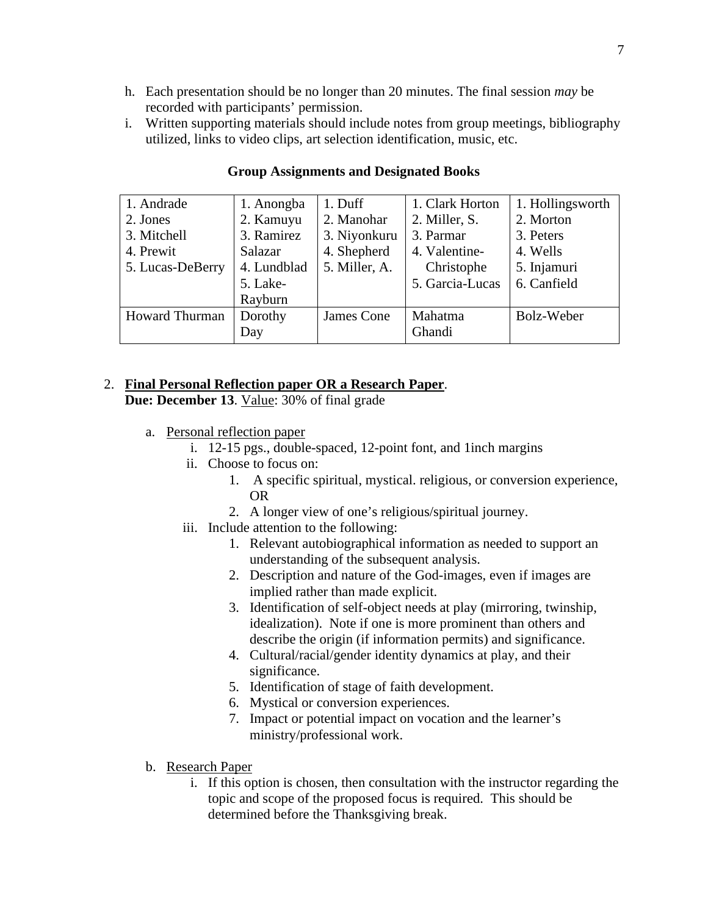- h. Each presentation should be no longer than 20 minutes. The final session *may* be recorded with participants' permission.
- i. Written supporting materials should include notes from group meetings, bibliography utilized, links to video clips, art selection identification, music, etc.

| 1. Andrade            | 1. Anongba  | 1. Duff       | 1. Clark Horton | 1. Hollingsworth |
|-----------------------|-------------|---------------|-----------------|------------------|
| 2. Jones              | 2. Kamuyu   | 2. Manohar    | 2. Miller, S.   | 2. Morton        |
| 3. Mitchell           | 3. Ramirez  | 3. Niyonkuru  | 3. Parmar       | 3. Peters        |
| 4. Prewit             | Salazar     | 4. Shepherd   | 4. Valentine-   | 4. Wells         |
| 5. Lucas-DeBerry      | 4. Lundblad | 5. Miller, A. | Christophe      | 5. Injamuri      |
|                       | 5. Lake-    |               | 5. Garcia-Lucas | 6. Canfield      |
|                       | Rayburn     |               |                 |                  |
| <b>Howard Thurman</b> | Dorothy     | James Cone    | Mahatma         | Bolz-Weber       |
|                       | Day         |               | Ghandi          |                  |

#### **Group Assignments and Designated Books**

## 2. **Final Personal Reflection paper OR a Research Paper**.

**Due: December 13**. Value: 30% of final grade

- a. Personal reflection paper
	- i. 12-15 pgs., double-spaced, 12-point font, and 1inch margins
	- ii. Choose to focus on:
		- 1. A specific spiritual, mystical. religious, or conversion experience, OR
		- 2. A longer view of one's religious/spiritual journey.
	- iii. Include attention to the following:
		- 1. Relevant autobiographical information as needed to support an understanding of the subsequent analysis.
		- 2. Description and nature of the God-images, even if images are implied rather than made explicit.
		- 3. Identification of self-object needs at play (mirroring, twinship, idealization). Note if one is more prominent than others and describe the origin (if information permits) and significance.
		- 4. Cultural/racial/gender identity dynamics at play, and their significance.
		- 5. Identification of stage of faith development.
		- 6. Mystical or conversion experiences.
		- 7. Impact or potential impact on vocation and the learner's ministry/professional work.
- b. Research Paper
	- i. If this option is chosen, then consultation with the instructor regarding the topic and scope of the proposed focus is required. This should be determined before the Thanksgiving break.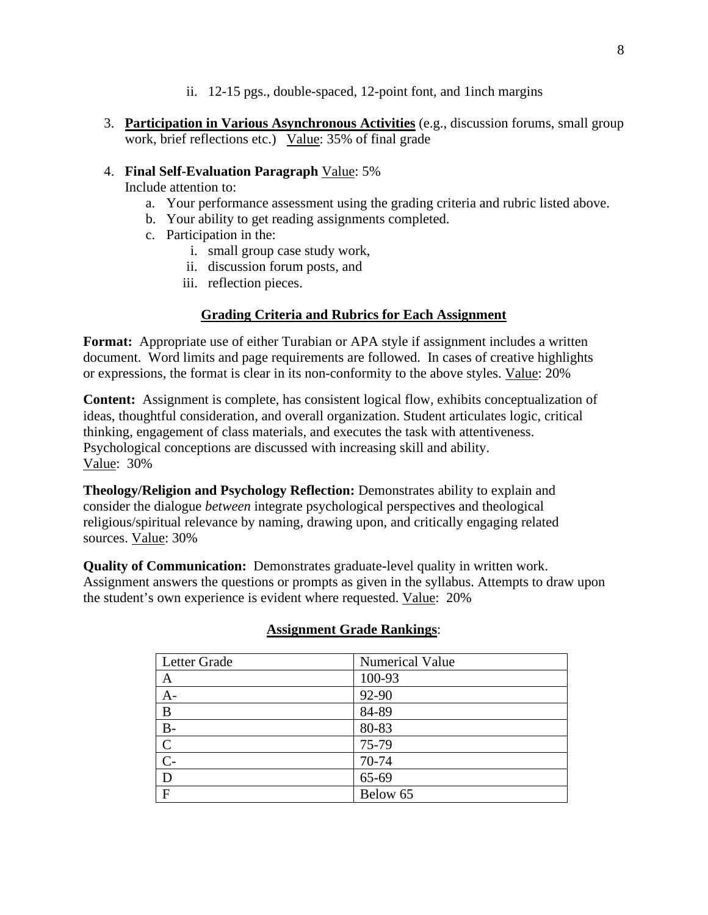- ii. 12-15 pgs., double-spaced, 12-point font, and 1inch margins
- 3. **Participation in Various Asynchronous Activities** (e.g., discussion forums, small group work, brief reflections etc.) Value: 35% of final grade
- 4. **Final Self-Evaluation Paragraph** Value: 5%

Include attention to:

- a. Your performance assessment using the grading criteria and rubric listed above.
- b. Your ability to get reading assignments completed.
- c. Participation in the:
	- i. small group case study work,
	- ii. discussion forum posts, and
	- iii. reflection pieces.

# **Grading Criteria and Rubrics for Each Assignment**

**Format:** Appropriate use of either Turabian or APA style if assignment includes a written document. Word limits and page requirements are followed. In cases of creative highlights or expressions, the format is clear in its non-conformity to the above styles. Value: 20%

**Content:** Assignment is complete, has consistent logical flow, exhibits conceptualization of ideas, thoughtful consideration, and overall organization. Student articulates logic, critical thinking, engagement of class materials, and executes the task with attentiveness. Psychological conceptions are discussed with increasing skill and ability. Value: 30%

**Theology/Religion and Psychology Reflection:** Demonstrates ability to explain and consider the dialogue *between* integrate psychological perspectives and theological religious/spiritual relevance by naming, drawing upon, and critically engaging related sources. Value: 30%

**Quality of Communication:** Demonstrates graduate**-**level quality in written work. Assignment answers the questions or prompts as given in the syllabus. Attempts to draw upon the student's own experience is evident where requested. Value: 20%

| Letter Grade   | Numerical Value |
|----------------|-----------------|
| A              | 100-93          |
| $A-$           | 92-90           |
| B              | 84-89           |
| $B -$          | 80-83           |
| $\mathbf C$    | 75-79           |
| $\overline{C}$ | 70-74           |
| D              | 65-69           |
| $\mathbf{F}$   | Below 65        |

## **Assignment Grade Rankings**: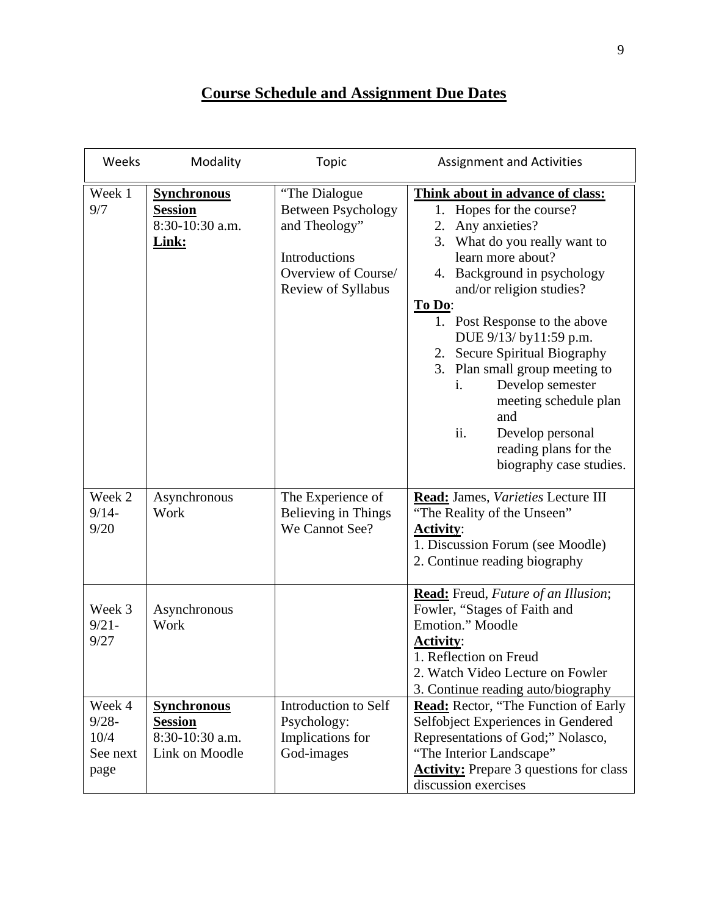# **Course Schedule and Assignment Due Dates**

| Weeks                                          | Modality                                                                  | <b>Topic</b>                                                                                                               | <b>Assignment and Activities</b>                                                                                                                                                                                                                                                                                                                                                                                                                                                       |  |
|------------------------------------------------|---------------------------------------------------------------------------|----------------------------------------------------------------------------------------------------------------------------|----------------------------------------------------------------------------------------------------------------------------------------------------------------------------------------------------------------------------------------------------------------------------------------------------------------------------------------------------------------------------------------------------------------------------------------------------------------------------------------|--|
| Week 1<br>9/7                                  | <b>Synchronous</b><br><b>Session</b><br>8:30-10:30 a.m.<br>Link:          | "The Dialogue"<br><b>Between Psychology</b><br>and Theology"<br>Introductions<br>Overview of Course/<br>Review of Syllabus | Think about in advance of class:<br>1. Hopes for the course?<br>Any anxieties?<br>2.<br>3. What do you really want to<br>learn more about?<br>4. Background in psychology<br>and/or religion studies?<br>To Do:<br>1. Post Response to the above<br>DUE 9/13/ by11:59 p.m.<br>2. Secure Spiritual Biography<br>3. Plan small group meeting to<br>Develop semester<br>i.<br>meeting schedule plan<br>and<br>ii.<br>Develop personal<br>reading plans for the<br>biography case studies. |  |
| Week 2<br>$9/14-$<br>9/20                      | Asynchronous<br>Work                                                      | The Experience of<br>Believing in Things<br>We Cannot See?                                                                 | Read: James, Varieties Lecture III<br>"The Reality of the Unseen"<br><b>Activity:</b><br>1. Discussion Forum (see Moodle)<br>2. Continue reading biography                                                                                                                                                                                                                                                                                                                             |  |
| Week 3<br>$9/21 -$<br>9/27                     | Asynchronous<br>Work                                                      |                                                                                                                            | Read: Freud, Future of an Illusion;<br>Fowler, "Stages of Faith and<br>Emotion." Moodle<br><b>Activity:</b><br>1. Reflection on Freud<br>2. Watch Video Lecture on Fowler<br>3. Continue reading auto/biography                                                                                                                                                                                                                                                                        |  |
| Week 4<br>$9/28 -$<br>10/4<br>See next<br>page | <b>Synchronous</b><br><b>Session</b><br>8:30-10:30 a.m.<br>Link on Moodle | Introduction to Self<br>Psychology:<br>Implications for<br>God-images                                                      | <b>Read:</b> Rector, "The Function of Early<br>Selfobject Experiences in Gendered<br>Representations of God;" Nolasco,<br>"The Interior Landscape"<br><b>Activity:</b> Prepare 3 questions for class<br>discussion exercises                                                                                                                                                                                                                                                           |  |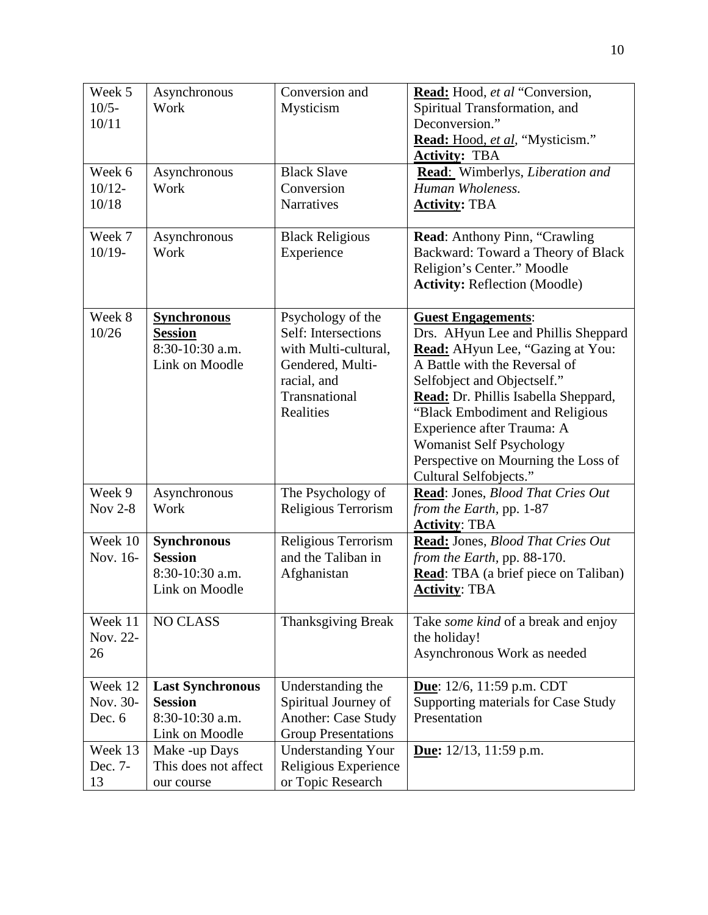| Week 5<br>$10/5-$<br>10/11    | Asynchronous<br>Work                                                           | Conversion and<br>Mysticism                                                                                                       | Read: Hood, et al "Conversion,<br>Spiritual Transformation, and<br>Deconversion."<br>Read: Hood, et al, "Mysticism."<br><b>Activity: TBA</b>                                                                                                                                                                                                                                      |
|-------------------------------|--------------------------------------------------------------------------------|-----------------------------------------------------------------------------------------------------------------------------------|-----------------------------------------------------------------------------------------------------------------------------------------------------------------------------------------------------------------------------------------------------------------------------------------------------------------------------------------------------------------------------------|
| Week 6<br>$10/12 -$<br>10/18  | Asynchronous<br>Work                                                           | <b>Black Slave</b><br>Conversion<br>Narratives                                                                                    | Read: Wimberlys, Liberation and<br>Human Wholeness.<br><b>Activity: TBA</b>                                                                                                                                                                                                                                                                                                       |
| Week 7<br>$10/19-$            | Asynchronous<br>Work                                                           | <b>Black Religious</b><br>Experience                                                                                              | Read: Anthony Pinn, "Crawling<br>Backward: Toward a Theory of Black<br>Religion's Center." Moodle<br><b>Activity: Reflection (Moodle)</b>                                                                                                                                                                                                                                         |
| Week 8<br>10/26               | <b>Synchronous</b><br><b>Session</b><br>8:30-10:30 a.m.<br>Link on Moodle      | Psychology of the<br>Self: Intersections<br>with Multi-cultural,<br>Gendered, Multi-<br>racial, and<br>Transnational<br>Realities | <b>Guest Engagements:</b><br>Drs. AHyun Lee and Phillis Sheppard<br>Read: AHyun Lee, "Gazing at You:<br>A Battle with the Reversal of<br>Selfobject and Objectself."<br>Read: Dr. Phillis Isabella Sheppard,<br>"Black Embodiment and Religious<br>Experience after Trauma: A<br><b>Womanist Self Psychology</b><br>Perspective on Mourning the Loss of<br>Cultural Selfobjects." |
| Week 9<br><b>Nov 2-8</b>      | Asynchronous<br>Work                                                           | The Psychology of<br>Religious Terrorism                                                                                          | Read: Jones, Blood That Cries Out<br>from the Earth, pp. 1-87<br><b>Activity: TBA</b>                                                                                                                                                                                                                                                                                             |
| Week 10<br>Nov. 16-           | <b>Synchronous</b><br><b>Session</b><br>8:30-10:30 a.m.<br>Link on Moodle      | Religious Terrorism<br>and the Taliban in<br>Afghanistan                                                                          | Read: Jones, Blood That Cries Out<br>from the Earth, pp. 88-170.<br><b>Read:</b> TBA (a brief piece on Taliban)<br><b>Activity: TBA</b>                                                                                                                                                                                                                                           |
| Week 11<br>Nov. 22-<br>26     | <b>NO CLASS</b>                                                                | <b>Thanksgiving Break</b>                                                                                                         | Take <i>some kind</i> of a break and enjoy<br>the holiday!<br>Asynchronous Work as needed                                                                                                                                                                                                                                                                                         |
| Week 12<br>Nov. 30-<br>Dec. 6 | <b>Last Synchronous</b><br><b>Session</b><br>8:30-10:30 a.m.<br>Link on Moodle | Understanding the<br>Spiritual Journey of<br><b>Another: Case Study</b><br><b>Group Presentations</b>                             | Due: 12/6, 11:59 p.m. CDT<br>Supporting materials for Case Study<br>Presentation                                                                                                                                                                                                                                                                                                  |
| Week 13<br>Dec. 7-<br>13      | Make -up Days<br>This does not affect<br>our course                            | <b>Understanding Your</b><br>Religious Experience<br>or Topic Research                                                            | <b>Due:</b> $12/13$ , $11:59$ p.m.                                                                                                                                                                                                                                                                                                                                                |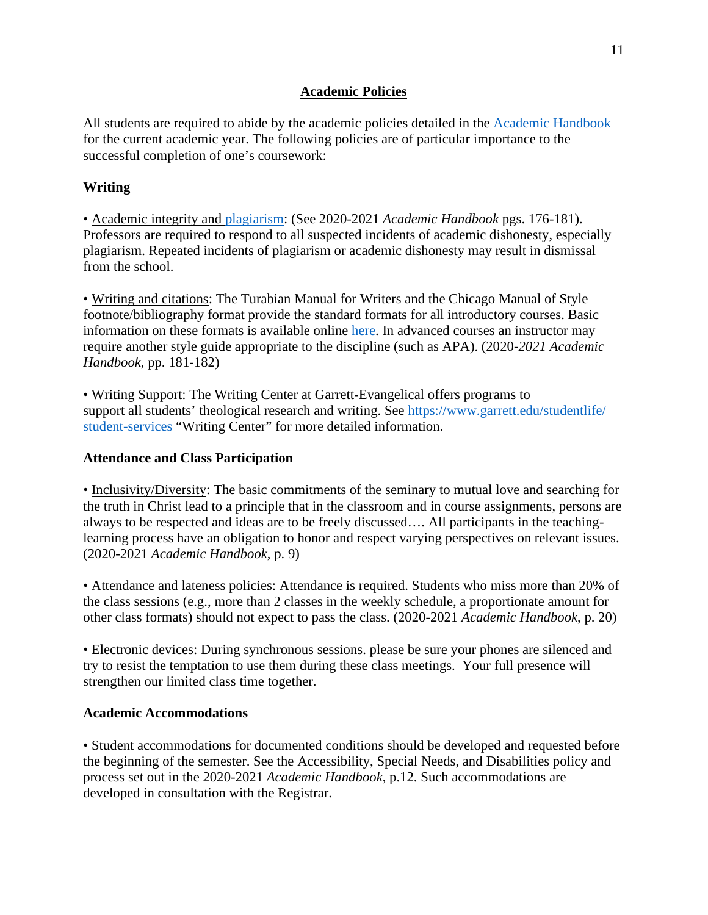#### **Academic Policies**

All students are required to abide by the academic policies detailed in the Academic Handbook for the current academic year. The following policies are of particular importance to the successful completion of one's coursework:

## **Writing**

• Academic integrity and plagiarism: (See 2020-2021 *Academic Handbook* pgs. 176-181). Professors are required to respond to all suspected incidents of academic dishonesty, especially plagiarism. Repeated incidents of plagiarism or academic dishonesty may result in dismissal from the school.

• Writing and citations: The Turabian Manual for Writers and the Chicago Manual of Style footnote/bibliography format provide the standard formats for all introductory courses. Basic information on these formats is available online here. In advanced courses an instructor may require another style guide appropriate to the discipline (such as APA). (2020-*2021 Academic Handbook*, pp. 181-182)

• Writing Support: The Writing Center at Garrett-Evangelical offers programs to support all students' theological research and writing. See https://www.garrett.edu/studentlife/ student-services "Writing Center" for more detailed information.

## **Attendance and Class Participation**

• Inclusivity/Diversity: The basic commitments of the seminary to mutual love and searching for the truth in Christ lead to a principle that in the classroom and in course assignments, persons are always to be respected and ideas are to be freely discussed…. All participants in the teachinglearning process have an obligation to honor and respect varying perspectives on relevant issues. (2020-2021 *Academic Handbook*, p. 9)

• Attendance and lateness policies: Attendance is required. Students who miss more than 20% of the class sessions (e.g., more than 2 classes in the weekly schedule, a proportionate amount for other class formats) should not expect to pass the class. (2020-2021 *Academic Handbook*, p. 20)

• Electronic devices: During synchronous sessions. please be sure your phones are silenced and try to resist the temptation to use them during these class meetings. Your full presence will strengthen our limited class time together.

## **Academic Accommodations**

• Student accommodations for documented conditions should be developed and requested before the beginning of the semester. See the Accessibility, Special Needs, and Disabilities policy and process set out in the 2020-2021 *Academic Handbook*, p.12. Such accommodations are developed in consultation with the Registrar.